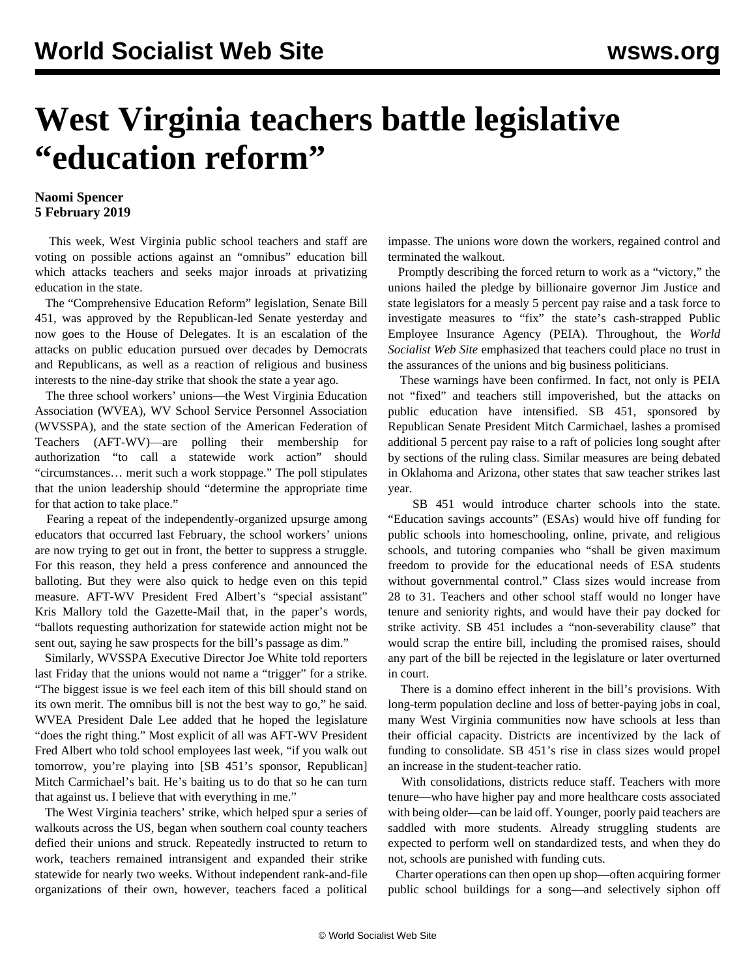## **West Virginia teachers battle legislative "education reform"**

## **Naomi Spencer 5 February 2019**

 This week, West Virginia public school teachers and staff are voting on possible actions against an "omnibus" education bill which attacks teachers and seeks major inroads at privatizing education in the state.

 The "Comprehensive Education Reform" legislation, Senate Bill 451, was approved by the Republican-led Senate yesterday and now goes to the House of Delegates. It is an escalation of the attacks on public education pursued over decades by Democrats and Republicans, as well as a reaction of religious and business interests to the nine-day strike that shook the state a year ago.

 The three school workers' unions—the West Virginia Education Association (WVEA), WV School Service Personnel Association (WVSSPA), and the state section of the American Federation of Teachers (AFT-WV)—are polling their membership for authorization "to call a statewide work action" should "circumstances… merit such a work stoppage." The poll stipulates that the union leadership should "determine the appropriate time for that action to take place."

 Fearing a repeat of the independently-organized upsurge among educators that occurred last February, the school workers' unions are now trying to get out in front, the better to suppress a struggle. For this reason, they held a press conference and announced the balloting. But they were also quick to hedge even on this tepid measure. AFT-WV President Fred Albert's "special assistant" Kris Mallory told the Gazette-Mail that, in the paper's words, "ballots requesting authorization for statewide action might not be sent out, saying he saw prospects for the bill's passage as dim."

 Similarly, WVSSPA Executive Director Joe White told reporters last Friday that the unions would not name a "trigger" for a strike. "The biggest issue is we feel each item of this bill should stand on its own merit. The omnibus bill is not the best way to go," he said. WVEA President Dale Lee added that he hoped the legislature "does the right thing." Most explicit of all was AFT-WV President Fred Albert who told school employees last week, "if you walk out tomorrow, you're playing into [SB 451's sponsor, Republican] Mitch Carmichael's bait. He's baiting us to do that so he can turn that against us. I believe that with everything in me."

 The West Virginia teachers' strike, which helped spur a series of walkouts across the US, began when southern coal county teachers defied their unions and struck. Repeatedly instructed to return to work, teachers remained intransigent and expanded their strike statewide for nearly two weeks. Without independent rank-and-file organizations of their own, however, teachers faced a political impasse. The unions wore down the workers, regained control and terminated the walkout.

 Promptly describing the forced return to work as a "victory," the unions hailed the pledge by billionaire governor Jim Justice and state legislators for a measly 5 percent pay raise and a task force to investigate measures to "fix" the state's cash-strapped Public Employee Insurance Agency (PEIA). Throughout, the *World Socialist Web Site* emphasized that teachers could place no trust in the assurances of the unions and big business politicians.

 These warnings have been confirmed. In fact, not only is PEIA not "fixed" and teachers still impoverished, but the attacks on public education have intensified. SB 451, sponsored by Republican Senate President Mitch Carmichael, lashes a promised additional 5 percent pay raise to a raft of policies long sought after by sections of the ruling class. Similar measures are being debated in Oklahoma and Arizona, other states that saw teacher strikes last year.

 SB 451 would introduce charter schools into the state. "Education savings accounts" (ESAs) would hive off funding for public schools into homeschooling, online, private, and religious schools, and tutoring companies who "shall be given maximum freedom to provide for the educational needs of ESA students without governmental control." Class sizes would increase from 28 to 31. Teachers and other school staff would no longer have tenure and seniority rights, and would have their pay docked for strike activity. SB 451 includes a "non-severability clause" that would scrap the entire bill, including the promised raises, should any part of the bill be rejected in the legislature or later overturned in court.

 There is a domino effect inherent in the bill's provisions. With long-term population decline and loss of better-paying jobs in coal, many West Virginia communities now have schools at less than their official capacity. Districts are incentivized by the lack of funding to consolidate. SB 451's rise in class sizes would propel an increase in the student-teacher ratio.

 With consolidations, districts reduce staff. Teachers with more tenure—who have higher pay and more healthcare costs associated with being older—can be laid off. Younger, poorly paid teachers are saddled with more students. Already struggling students are expected to perform well on standardized tests, and when they do not, schools are punished with funding cuts.

 Charter operations can then open up shop—often acquiring former public school buildings for a song—and selectively siphon off